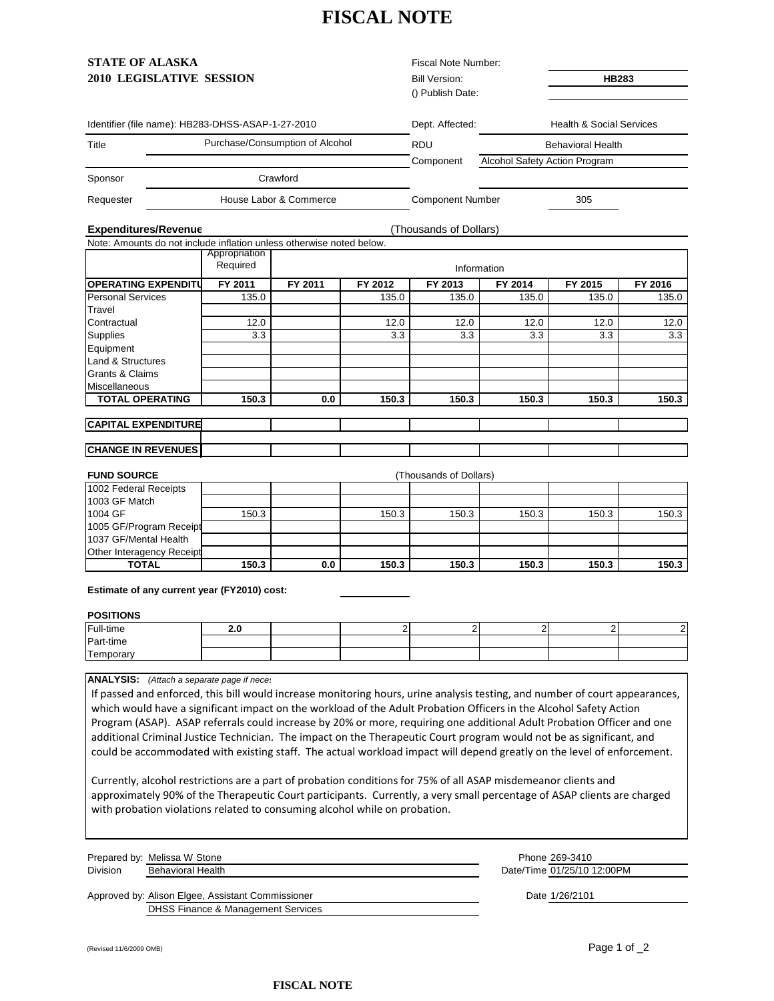# **FISCAL NOTE**

| <b>STATE OF ALASKA</b>                                               |               |                        |                      | Fiscal Note Number:     |                          |                                      |         |  |
|----------------------------------------------------------------------|---------------|------------------------|----------------------|-------------------------|--------------------------|--------------------------------------|---------|--|
| 2010 LEGISLATIVE SESSION                                             |               |                        | <b>Bill Version:</b> |                         | <b>HB283</b>             |                                      |         |  |
|                                                                      |               |                        |                      | () Publish Date:        |                          |                                      |         |  |
| Identifier (file name): HB283-DHSS-ASAP-1-27-2010                    |               |                        |                      | Dept. Affected:         |                          | <b>Health &amp; Social Services</b>  |         |  |
| Purchase/Consumption of Alcohol                                      |               |                        |                      |                         |                          |                                      |         |  |
| Title                                                                | <b>RDU</b>    |                        |                      |                         | <b>Behavioral Health</b> |                                      |         |  |
|                                                                      |               |                        |                      | Component               |                          | <b>Alcohol Safety Action Program</b> |         |  |
| Sponsor                                                              |               | Crawford               |                      |                         |                          |                                      |         |  |
| Requester                                                            |               | House Labor & Commerce |                      | <b>Component Number</b> |                          | 305                                  |         |  |
| <b>Expenditures/Revenue</b>                                          |               |                        |                      | (Thousands of Dollars)  |                          |                                      |         |  |
| Note: Amounts do not include inflation unless otherwise noted below. |               |                        |                      |                         |                          |                                      |         |  |
|                                                                      | Appropriation |                        |                      |                         |                          |                                      |         |  |
|                                                                      | Required      | Information            |                      |                         |                          |                                      |         |  |
| <b>OPERATING EXPENDITU</b>                                           | FY 2011       | FY 2011                | FY 2012              | FY 2013                 | FY 2014                  | FY 2015                              | FY 2016 |  |
| <b>Personal Services</b>                                             | 135.0         |                        | 135.0                | 135.0                   | 135.0                    | 135.0                                | 135.0   |  |
| Travel                                                               |               |                        |                      |                         |                          |                                      |         |  |
| Contractual                                                          | 12.0          |                        | 12.0                 | 12.0                    | 12.0                     | 12.0                                 | 12.0    |  |
| Supplies                                                             | 3.3           |                        | 3.3                  | 3.3                     | 3.3                      | 3.3                                  | 3.3     |  |
| Equipment                                                            |               |                        |                      |                         |                          |                                      |         |  |
| <b>Land &amp; Structures</b>                                         |               |                        |                      |                         |                          |                                      |         |  |
| Grants & Claims                                                      |               |                        |                      |                         |                          |                                      |         |  |
| Miscellaneous                                                        |               |                        |                      |                         |                          |                                      |         |  |
| <b>TOTAL OPERATING</b>                                               | 150.3         | 0.0                    | 150.3                | 150.3                   | 150.3                    | 150.3                                | 150.3   |  |
| <b>CAPITAL EXPENDITURE</b>                                           |               |                        |                      |                         |                          |                                      |         |  |
|                                                                      |               |                        |                      |                         |                          |                                      |         |  |
| <b>CHANGE IN REVENUES</b>                                            |               |                        |                      |                         |                          |                                      |         |  |
| <b>FUND SOURCE</b>                                                   |               |                        |                      | (Thousands of Dollars)  |                          |                                      |         |  |
| 1002 Federal Receipts                                                |               |                        |                      |                         |                          |                                      |         |  |

| 1002 Federal Receipts     |       |     |       |       |       |       |       |
|---------------------------|-------|-----|-------|-------|-------|-------|-------|
| 1003 GF Match             |       |     |       |       |       |       |       |
| 1004 GF                   | 150.3 |     | 150.3 | 150.3 | 150.3 | 150.3 | 150.3 |
| 1005 GF/Program Receipt   |       |     |       |       |       |       |       |
| 1037 GF/Mental Health     |       |     |       |       |       |       |       |
| Other Interagency Receipt |       |     |       |       |       |       |       |
| TOTAL                     | 150.3 | 0.0 | 150.3 | 150.3 | 150.3 | 150.3 | 150.3 |

**Estimate of any current year (FY2010) cost:** 

#### **POSITIONS**

| Full-time | . . |  |  |  |
|-----------|-----|--|--|--|
| Part-time |     |  |  |  |
| Temporary |     |  |  |  |

**ANALYSIS:** *(Attach a separate page if neces*

If passed and enforced, this bill would increase monitoring hours, urine analysis testing, and number of court appearances, which would have a significant impact on the workload of the Adult Probation Officers in the Alcohol Safety Action Program (ASAP). ASAP referrals could increase by 20% or more, requiring one additional Adult Probation Officer and one additional Criminal Justice Technician. The impact on the Therapeutic Court program would not be as significant, and could be accommodated with existing staff. The actual workload impact will depend greatly on the level of enforcement.

Currently, alcohol restrictions are a part of probation conditions for 75% of all ASAP misdemeanor clients and approximately 90% of the Therapeutic Court participants. Currently, a very small percentage of ASAP clients are charged with probation violations related to consuming alcohol while on probation.

|                 | Prepared by: Melissa W Stone | Phone 269-3410             |
|-----------------|------------------------------|----------------------------|
| <b>Division</b> | <b>Behavioral Health</b>     | Date/Time 01/25/10 12:00PM |
|                 |                              |                            |

Approved by: Alison Elgee, Assistant Commissioner DHSS Finance & Management Services Date 1/26/2101

(Revised 11/6/2009 OMB) Page 1 of \_2